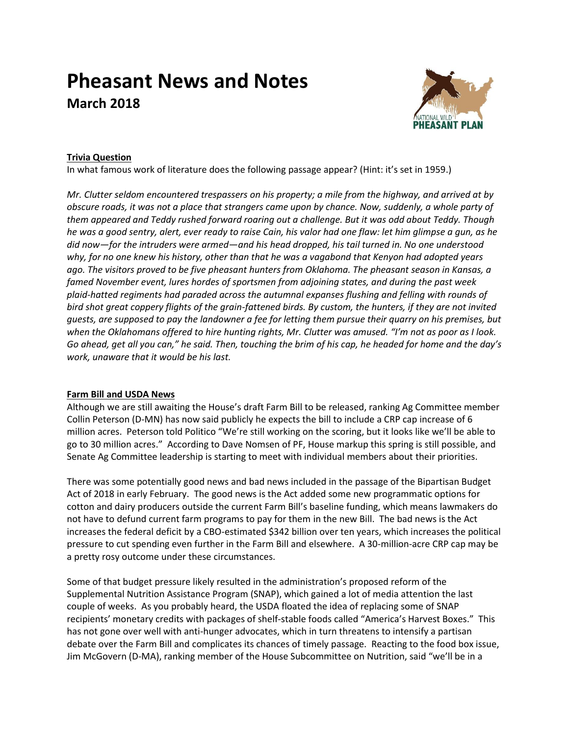# **Pheasant News and Notes March 2018**



## **Trivia Question**

In what famous work of literature does the following passage appear? (Hint: it's set in 1959.)

*Mr. Clutter seldom encountered trespassers on his property; a mile from the highway, and arrived at by obscure roads, it was not a place that strangers came upon by chance. Now, suddenly, a whole party of them appeared and Teddy rushed forward roaring out a challenge. But it was odd about Teddy. Though he was a good sentry, alert, ever ready to raise Cain, his valor had one flaw: let him glimpse a gun, as he did now—for the intruders were armed—and his head dropped, his tail turned in. No one understood why, for no one knew his history, other than that he was a vagabond that Kenyon had adopted years ago. The visitors proved to be five pheasant hunters from Oklahoma. The pheasant season in Kansas, a famed November event, lures hordes of sportsmen from adjoining states, and during the past week plaid-hatted regiments had paraded across the autumnal expanses flushing and felling with rounds of bird shot great coppery flights of the grain-fattened birds. By custom, the hunters, if they are not invited guests, are supposed to pay the landowner a fee for letting them pursue their quarry on his premises, but when the Oklahomans offered to hire hunting rights, Mr. Clutter was amused. "I'm not as poor as I look. Go ahead, get all you can," he said. Then, touching the brim of his cap, he headed for home and the day's work, unaware that it would be his last.*

## **Farm Bill and USDA News**

Although we are still awaiting the House's draft Farm Bill to be released, ranking Ag Committee member Collin Peterson (D-MN) has now said publicly he expects the bill to include a CRP cap increase of 6 million acres. Peterson told Politico "We're still working on the scoring, but it looks like we'll be able to go to 30 million acres." According to Dave Nomsen of PF, House markup this spring is still possible, and Senate Ag Committee leadership is starting to meet with individual members about their priorities.

There was some potentially good news and bad news included in the passage of the Bipartisan Budget Act of 2018 in early February. The good news is the Act added some new programmatic options for cotton and dairy producers outside the current Farm Bill's baseline funding, which means lawmakers do not have to defund current farm programs to pay for them in the new Bill. The bad news is the Act increases the federal deficit by a CBO-estimated \$342 billion over ten years, which increases the political pressure to cut spending even further in the Farm Bill and elsewhere. A 30-million-acre CRP cap may be a pretty rosy outcome under these circumstances.

Some of that budget pressure likely resulted in the administration's proposed reform of the Supplemental Nutrition Assistance Program (SNAP), which gained a lot of media attention the last couple of weeks. As you probably heard, the USDA floated the idea of replacing some of SNAP recipients' monetary credits with packages of shelf-stable foods called "America's Harvest Boxes." This has not gone over well with anti-hunger advocates, which in turn threatens to intensify a partisan debate over the Farm Bill and complicates its chances of timely passage. Reacting to the food box issue, Jim McGovern (D-MA), ranking member of the House Subcommittee on Nutrition, said "we'll be in a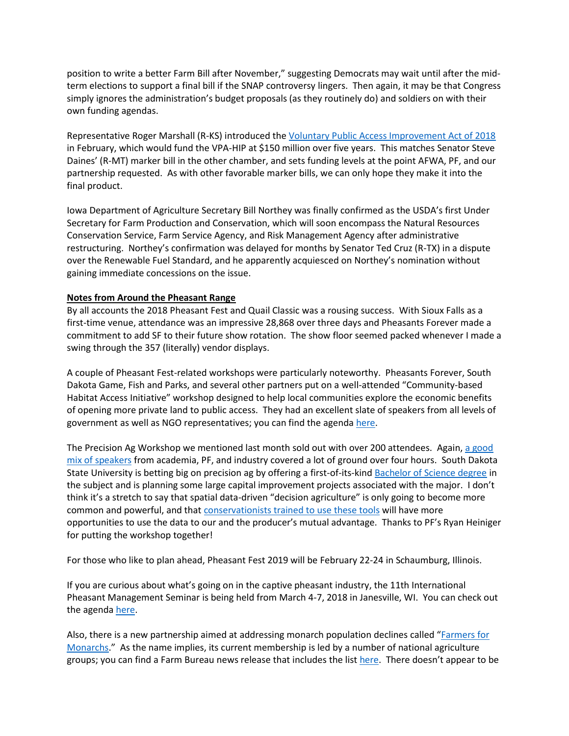position to write a better Farm Bill after November," suggesting Democrats may wait until after the midterm elections to support a final bill if the SNAP controversy lingers. Then again, it may be that Congress simply ignores the administration's budget proposals (as they routinely do) and soldiers on with their own funding agendas.

Representative Roger Marshall (R-KS) introduced th[e Voluntary Public Access Improvement Act of 2018](https://www.govtrack.us/congress/bills/115/hr5022) in February, which would fund the VPA-HIP at \$150 million over five years. This matches Senator Steve Daines' (R-MT) marker bill in the other chamber, and sets funding levels at the point AFWA, PF, and our partnership requested. As with other favorable marker bills, we can only hope they make it into the final product.

Iowa Department of Agriculture Secretary Bill Northey was finally confirmed as the USDA's first Under Secretary for Farm Production and Conservation, which will soon encompass the Natural Resources Conservation Service, Farm Service Agency, and Risk Management Agency after administrative restructuring. Northey's confirmation was delayed for months by Senator Ted Cruz (R-TX) in a dispute over the Renewable Fuel Standard, and he apparently acquiesced on Northey's nomination without gaining immediate concessions on the issue.

## **Notes from Around the Pheasant Range**

By all accounts the 2018 Pheasant Fest and Quail Classic was a rousing success. With Sioux Falls as a first-time venue, attendance was an impressive 28,868 over three days and Pheasants Forever made a commitment to add SF to their future show rotation. The show floor seemed packed whenever I made a swing through the 357 (literally) vendor displays.

A couple of Pheasant Fest-related workshops were particularly noteworthy. Pheasants Forever, South Dakota Game, Fish and Parks, and several other partners put on a well-attended "Community-based Habitat Access Initiative" workshop designed to help local communities explore the economic benefits of opening more private land to public access. They had an excellent slate of speakers from all levels of government as well as NGO representatives; you can find the agenda [here.](http://nationalpheasantplan.org/wp-content/uploads/2018/03/2018-community-access-initiative-agenda.pdf)

The Precision Ag Workshop we mentioned last month sold out with over 200 attendees. Again, a good [mix of speakers](http://nationalpheasantplan.org/wp-content/uploads/2018/03/2018-precision-ag-workshop-agenda.pdf) from academia, PF, and industry covered a lot of ground over four hours. South Dakota State University is betting big on precision ag by offering a first-of-its-kind [Bachelor of Science degree](http://catalog.sdstate.edu/preview_program.php?catoid=30&poid=6920&hl=Precision+Agriculture+%28B.S.%29&returnto=search) in the subject and is planning some large capital improvement projects associated with the major. I don't think it's a stretch to say that spatial data-driven "decision agriculture" is only going to become more common and powerful, and that [conservationists trained to use these tools](http://nationalpheasantplan.org/wp-content/uploads/2018/03/2018-PF-precision-ag-team.pdf) will have more opportunities to use the data to our and the producer's mutual advantage. Thanks to PF's Ryan Heiniger for putting the workshop together!

For those who like to plan ahead, Pheasant Fest 2019 will be February 22-24 in Schaumburg, Illinois.

If you are curious about what's going on in the captive pheasant industry, the 11th International Pheasant Management Seminar is being held from March 4-7, 2018 in Janesville, WI. You can check out the agend[a here.](https://www.pheasant.com/Portals/0/documents/2018%20MacFarlane%20Seminar%20Flyer.pdf)

Also, there is a new partnership aimed at addressing monarch population declines called "[Farmers for](http://farmersformonarchs.org/)  [Monarchs.](http://farmersformonarchs.org/)" As the name implies, its current membership is led by a number of national agriculture groups; you can find a Farm Bureau news release that includes the list [here.](https://www.fb.org/newsroom/farmers-for-monarchs-collaboration-announced-at-commodity-classic) There doesn't appear to be